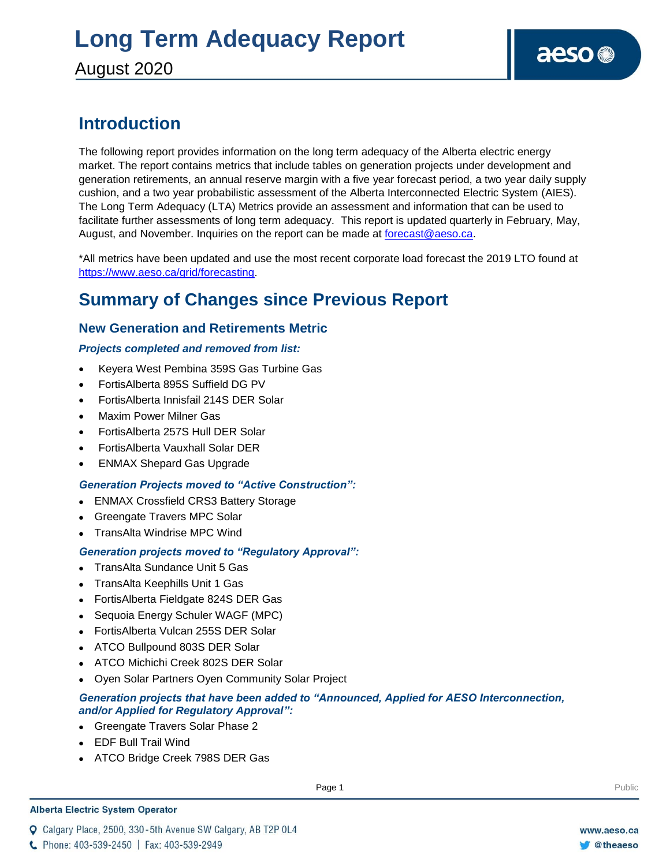### **Introduction**

The following report provides information on the long term adequacy of the Alberta electric energy market. The report contains metrics that include tables on generation projects under development and generation retirements, an annual reserve margin with a five year forecast period, a two year daily supply cushion, and a two year probabilistic assessment of the Alberta Interconnected Electric System (AIES). The Long Term Adequacy (LTA) Metrics provide an assessment and information that can be used to facilitate further assessments of long term adequacy. This report is updated quarterly in February, May, August, and November. Inquiries on the report can be made at [forecast@aeso.ca.](mailto:forecast@aeso.ca)

\*All metrics have been updated and use the most recent corporate load forecast the 2019 LTO found at https://www.aeso.ca/grid/forecasting.

### **Summary of Changes since Previous Report**

### **New Generation and Retirements Metric**

### *Projects completed and removed from list:*

- Keyera West Pembina 359S Gas Turbine Gas
- FortisAlberta 895S Suffield DG PV
- FortisAlberta Innisfail 214S DER Solar
- Maxim Power Milner Gas
- FortisAlberta 257S Hull DER Solar
- FortisAlberta Vauxhall Solar DER
- ENMAX Shepard Gas Upgrade

### *Generation Projects moved to "Active Construction":*

- ENMAX Crossfield CRS3 Battery Storage
- Greengate Travers MPC Solar
- TransAlta Windrise MPC Wind

### *Generation projects moved to "Regulatory Approval":*

- TransAlta Sundance Unit 5 Gas
- TransAlta Keephills Unit 1 Gas
- FortisAlberta Fieldgate 824S DER Gas
- Sequoia Energy Schuler WAGF (MPC)
- FortisAlberta Vulcan 255S DER Solar
- ATCO Bullpound 803S DER Solar
- ATCO Michichi Creek 802S DER Solar
- Oyen Solar Partners Oyen Community Solar Project

### *Generation projects that have been added to "Announced, Applied for AESO Interconnection, and/or Applied for Regulatory Approval":*

- Greengate Travers Solar Phase 2
- EDF Bull Trail Wind
- ATCO Bridge Creek 798S DER Gas

#### **Alberta Electric System Operator**

Q Calgary Place, 2500, 330-5th Avenue SW Calgary, AB T2P 0L4

**Enter Football Page 1** Public Page 1 **Public Public Public Public Public Public Public Public Public Public Public Public Public Public Public Public Public Public Public Public Public Public Public Public Public Public P** 

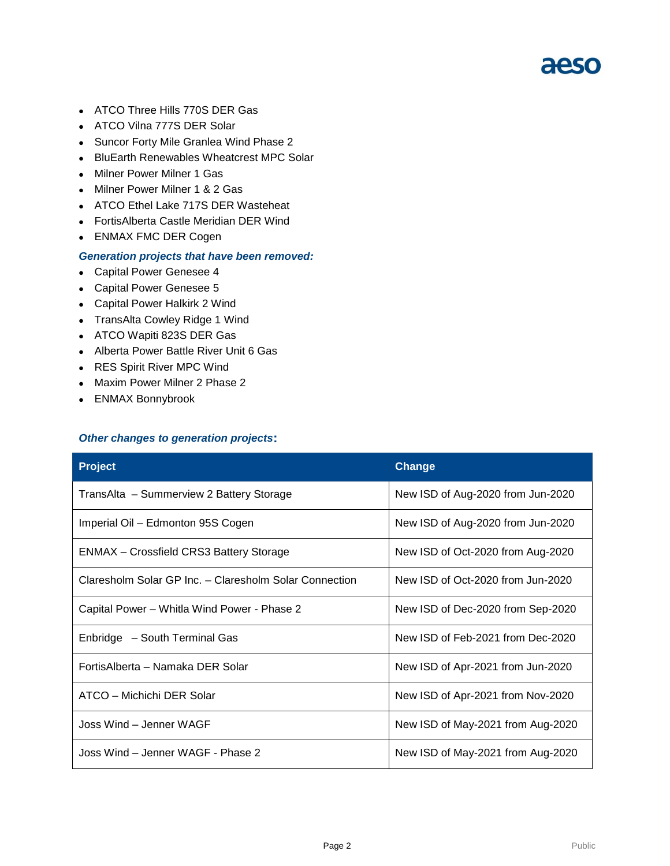- ATCO Three Hills 770S DER Gas
- ATCO Vilna 777S DER Solar
- Suncor Forty Mile Granlea Wind Phase 2
- BluEarth Renewables Wheatcrest MPC Solar
- Milner Power Milner 1 Gas
- Milner Power Milner 1 & 2 Gas
- ATCO Ethel Lake 717S DER Wasteheat
- FortisAlberta Castle Meridian DER Wind
- ENMAX FMC DER Cogen

#### *Generation projects that have been removed:*

- Capital Power Genesee 4
- Capital Power Genesee 5
- Capital Power Halkirk 2 Wind
- TransAlta Cowley Ridge 1 Wind
- ATCO Wapiti 823S DER Gas
- Alberta Power Battle River Unit 6 Gas
- RES Spirit River MPC Wind
- Maxim Power Milner 2 Phase 2
- ENMAX Bonnybrook

#### *Other changes to generation projects***:**

| <b>Project</b>                                         | <b>Change</b>                     |
|--------------------------------------------------------|-----------------------------------|
| TransAlta - Summerview 2 Battery Storage               | New ISD of Aug-2020 from Jun-2020 |
| Imperial Oil - Edmonton 95S Cogen                      | New ISD of Aug-2020 from Jun-2020 |
| ENMAX – Crossfield CRS3 Battery Storage                | New ISD of Oct-2020 from Aug-2020 |
| Claresholm Solar GP Inc. - Claresholm Solar Connection | New ISD of Oct-2020 from Jun-2020 |
| Capital Power - Whitla Wind Power - Phase 2            | New ISD of Dec-2020 from Sep-2020 |
| Enbridge - South Terminal Gas                          | New ISD of Feb-2021 from Dec-2020 |
| FortisAlberta - Namaka DER Solar                       | New ISD of Apr-2021 from Jun-2020 |
| ATCO - Michichi DER Solar                              | New ISD of Apr-2021 from Nov-2020 |
| Joss Wind - Jenner WAGF                                | New ISD of May-2021 from Aug-2020 |
| Joss Wind - Jenner WAGF - Phase 2                      | New ISD of May-2021 from Aug-2020 |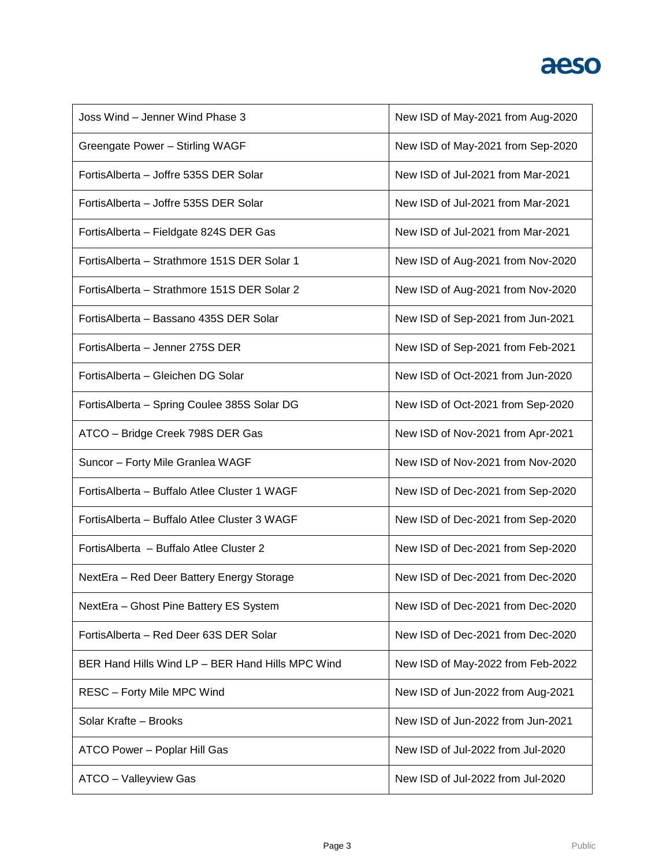| Joss Wind - Jenner Wind Phase 3                  | New ISD of May-2021 from Aug-2020 |
|--------------------------------------------------|-----------------------------------|
| Greengate Power - Stirling WAGF                  | New ISD of May-2021 from Sep-2020 |
| FortisAlberta - Joffre 535S DER Solar            | New ISD of Jul-2021 from Mar-2021 |
| Fortis Alberta - Joffre 535S DER Solar           | New ISD of Jul-2021 from Mar-2021 |
| FortisAlberta - Fieldgate 824S DER Gas           | New ISD of Jul-2021 from Mar-2021 |
| FortisAlberta - Strathmore 151S DER Solar 1      | New ISD of Aug-2021 from Nov-2020 |
| Fortis Alberta - Strathmore 151S DER Solar 2     | New ISD of Aug-2021 from Nov-2020 |
| Fortis Alberta - Bassano 435S DER Solar          | New ISD of Sep-2021 from Jun-2021 |
| FortisAlberta - Jenner 275S DER                  | New ISD of Sep-2021 from Feb-2021 |
| FortisAlberta - Gleichen DG Solar                | New ISD of Oct-2021 from Jun-2020 |
| FortisAlberta - Spring Coulee 385S Solar DG      | New ISD of Oct-2021 from Sep-2020 |
| ATCO - Bridge Creek 798S DER Gas                 | New ISD of Nov-2021 from Apr-2021 |
| Suncor - Forty Mile Granlea WAGF                 | New ISD of Nov-2021 from Nov-2020 |
| Fortis Alberta - Buffalo Atlee Cluster 1 WAGF    | New ISD of Dec-2021 from Sep-2020 |
| FortisAlberta - Buffalo Atlee Cluster 3 WAGF     | New ISD of Dec-2021 from Sep-2020 |
| Fortis Alberta - Buffalo Atlee Cluster 2         | New ISD of Dec-2021 from Sep-2020 |
| NextEra - Red Deer Battery Energy Storage        | New ISD of Dec-2021 from Dec-2020 |
| NextEra - Ghost Pine Battery ES System           | New ISD of Dec-2021 from Dec-2020 |
| FortisAlberta - Red Deer 63S DER Solar           | New ISD of Dec-2021 from Dec-2020 |
| BER Hand Hills Wind LP - BER Hand Hills MPC Wind | New ISD of May-2022 from Feb-2022 |
| <b>RESC - Forty Mile MPC Wind</b>                | New ISD of Jun-2022 from Aug-2021 |
| Solar Krafte - Brooks                            | New ISD of Jun-2022 from Jun-2021 |
| ATCO Power - Poplar Hill Gas                     | New ISD of Jul-2022 from Jul-2020 |
| ATCO - Valleyview Gas                            | New ISD of Jul-2022 from Jul-2020 |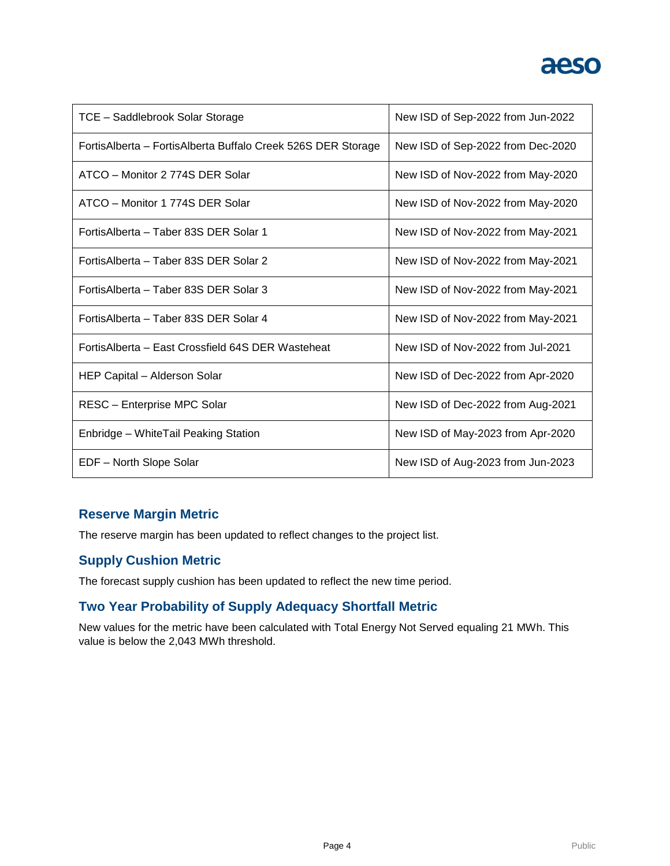| TCE - Saddlebrook Solar Storage                              | New ISD of Sep-2022 from Jun-2022 |
|--------------------------------------------------------------|-----------------------------------|
| FortisAlberta - FortisAlberta Buffalo Creek 526S DER Storage | New ISD of Sep-2022 from Dec-2020 |
| ATCO - Monitor 2 774S DER Solar                              | New ISD of Nov-2022 from May-2020 |
| ATCO - Monitor 1 774S DER Solar                              | New ISD of Nov-2022 from May-2020 |
| FortisAlberta – Taber 83S DER Solar 1                        | New ISD of Nov-2022 from May-2021 |
| FortisAlberta - Taber 83S DER Solar 2                        | New ISD of Nov-2022 from May-2021 |
| Fortis Alberta – Taber 83S DER Solar 3                       | New ISD of Nov-2022 from May-2021 |
| FortisAlberta – Taber 83S DER Solar 4                        | New ISD of Nov-2022 from May-2021 |
| FortisAlberta – East Crossfield 64S DER Wasteheat            | New ISD of Nov-2022 from Jul-2021 |
| HEP Capital - Alderson Solar                                 | New ISD of Dec-2022 from Apr-2020 |
| RESC - Enterprise MPC Solar                                  | New ISD of Dec-2022 from Aug-2021 |
| Enbridge - WhiteTail Peaking Station                         | New ISD of May-2023 from Apr-2020 |
| EDF - North Slope Solar                                      | New ISD of Aug-2023 from Jun-2023 |

### **Reserve Margin Metric**

The reserve margin has been updated to reflect changes to the project list.

### **Supply Cushion Metric**

The forecast supply cushion has been updated to reflect the new time period.

### **Two Year Probability of Supply Adequacy Shortfall Metric**

New values for the metric have been calculated with Total Energy Not Served equaling 21 MWh. This value is below the 2,043 MWh threshold.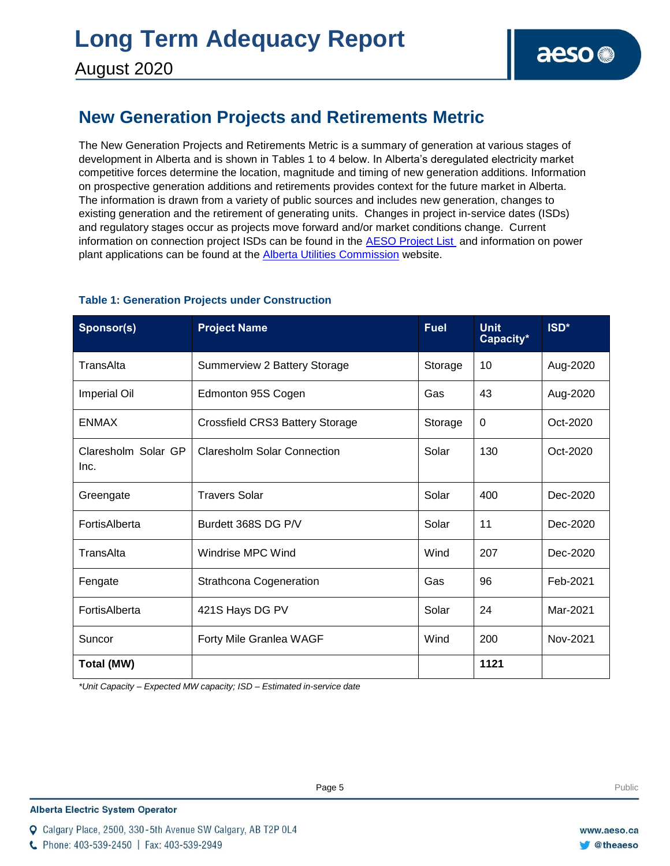### **New Generation Projects and Retirements Metric**

The New Generation Projects and Retirements Metric is a summary of generation at various stages of development in Alberta and is shown in Tables 1 to 4 below. In Alberta's deregulated electricity market competitive forces determine the location, magnitude and timing of new generation additions. Information on prospective generation additions and retirements provides context for the future market in Alberta. The information is drawn from a variety of public sources and includes new generation, changes to existing generation and the retirement of generating units. Changes in project in-service dates (ISDs) and regulatory stages occur as projects move forward and/or market conditions change. Current information on connection project ISDs can be found in the [AESO Project List](https://www.aeso.ca/grid/connecting-to-the-grid/) and information on power plant applications can be found at the **Alberta Utilities Commission** website.

| Sponsor(s)                  | <b>Project Name</b>                | <b>Fuel</b> | <b>Unit</b><br>Capacity* | ISD*     |
|-----------------------------|------------------------------------|-------------|--------------------------|----------|
| TransAlta                   | Summerview 2 Battery Storage       | Storage     | 10                       | Aug-2020 |
| <b>Imperial Oil</b>         | Edmonton 95S Cogen                 | Gas         | 43                       | Aug-2020 |
| <b>ENMAX</b>                | Crossfield CRS3 Battery Storage    | Storage     | 0                        | Oct-2020 |
| Claresholm Solar GP<br>Inc. | <b>Claresholm Solar Connection</b> | Solar       | 130                      | Oct-2020 |
| Greengate                   | <b>Travers Solar</b>               | Solar       | 400                      | Dec-2020 |
| FortisAlberta               | Burdett 368S DG P/V                | Solar       | 11                       | Dec-2020 |
| TransAlta                   | Windrise MPC Wind                  | Wind        | 207                      | Dec-2020 |
| Fengate                     | <b>Strathcona Cogeneration</b>     | Gas         | 96                       | Feb-2021 |
| FortisAlberta               | 421S Hays DG PV                    | Solar       | 24                       | Mar-2021 |
| Suncor                      | Forty Mile Granlea WAGF            | Wind        | 200                      | Nov-2021 |
| Total (MW)                  |                                    |             | 1121                     |          |

### **Table 1: Generation Projects under Construction**

*\*Unit Capacity – Expected MW capacity; ISD – Estimated in-service date*

#### **Alberta Electric System Operator**

Q Calgary Place, 2500, 330-5th Avenue SW Calgary, AB T2P 0L4

C Phone: 403-539-2450 | Fax: 403-539-2949

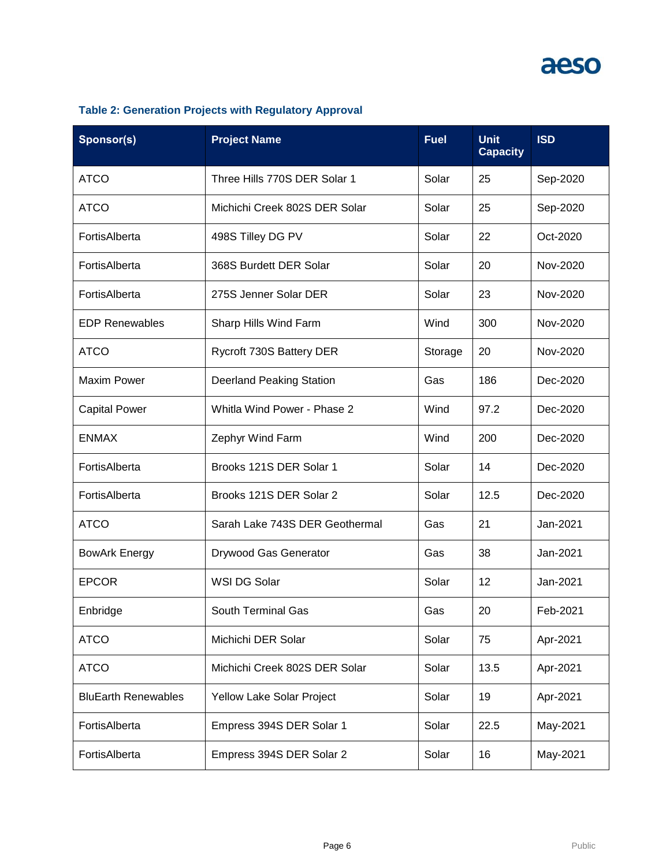| Sponsor(s)                 | <b>Project Name</b>             | <b>Fuel</b> | <b>Unit</b><br><b>Capacity</b> | <b>ISD</b> |
|----------------------------|---------------------------------|-------------|--------------------------------|------------|
| <b>ATCO</b>                | Three Hills 770S DER Solar 1    | Solar       | 25                             | Sep-2020   |
| <b>ATCO</b>                | Michichi Creek 802S DER Solar   | Solar       | 25                             | Sep-2020   |
| FortisAlberta              | 498S Tilley DG PV               | Solar       | 22                             | Oct-2020   |
| FortisAlberta              | 368S Burdett DER Solar          | Solar       | 20                             | Nov-2020   |
| FortisAlberta              | 275S Jenner Solar DER           | Solar       | 23                             | Nov-2020   |
| <b>EDP Renewables</b>      | Sharp Hills Wind Farm           | Wind        | 300                            | Nov-2020   |
| <b>ATCO</b>                | Rycroft 730S Battery DER        | Storage     | 20                             | Nov-2020   |
| <b>Maxim Power</b>         | <b>Deerland Peaking Station</b> | Gas         | 186                            | Dec-2020   |
| <b>Capital Power</b>       | Whitla Wind Power - Phase 2     | Wind        | 97.2                           | Dec-2020   |
| <b>ENMAX</b>               | Zephyr Wind Farm                | Wind        | 200                            | Dec-2020   |
| FortisAlberta              | Brooks 121S DER Solar 1         | Solar       | 14                             | Dec-2020   |
| FortisAlberta              | Brooks 121S DER Solar 2         | Solar       | 12.5                           | Dec-2020   |
| <b>ATCO</b>                | Sarah Lake 743S DER Geothermal  | Gas         | 21                             | Jan-2021   |
| <b>BowArk Energy</b>       | Drywood Gas Generator           | Gas         | 38                             | Jan-2021   |
| <b>EPCOR</b>               | WSI DG Solar                    | Solar       | 12                             | Jan-2021   |
| Enbridge                   | <b>South Terminal Gas</b>       | Gas         | 20                             | Feb-2021   |
| <b>ATCO</b>                | Michichi DER Solar              | Solar       | 75                             | Apr-2021   |
| <b>ATCO</b>                | Michichi Creek 802S DER Solar   | Solar       | 13.5                           | Apr-2021   |
| <b>BluEarth Renewables</b> | Yellow Lake Solar Project       | Solar       | 19                             | Apr-2021   |
| FortisAlberta              | Empress 394S DER Solar 1        | Solar       | 22.5                           | May-2021   |
| FortisAlberta              | Empress 394S DER Solar 2        | Solar       | 16                             | May-2021   |

### **Table 2: Generation Projects with Regulatory Approval**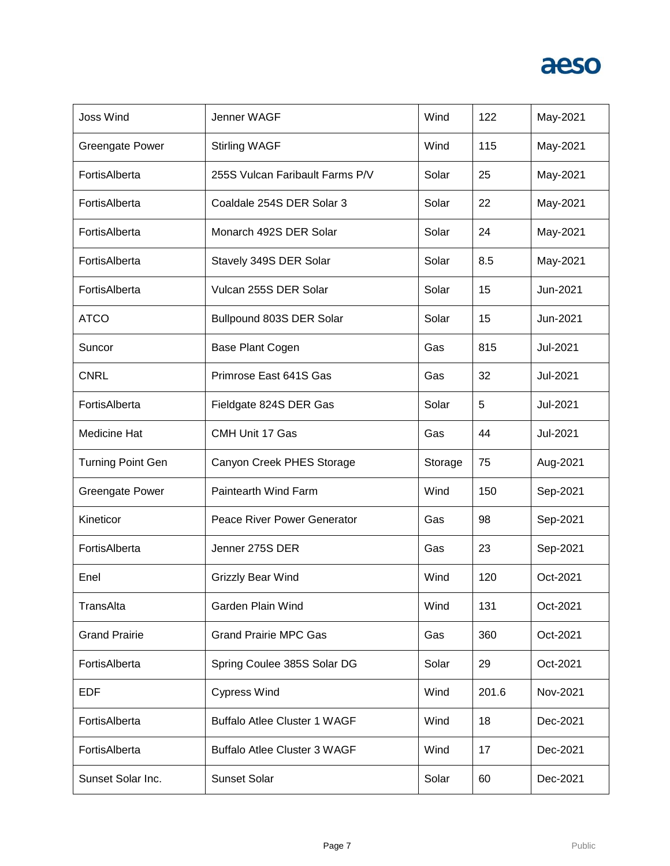| <b>Joss Wind</b>         | Jenner WAGF                         | Wind    | 122   | May-2021 |
|--------------------------|-------------------------------------|---------|-------|----------|
| Greengate Power          | <b>Stirling WAGF</b>                | Wind    | 115   | May-2021 |
| FortisAlberta            | 255S Vulcan Faribault Farms P/V     | Solar   | 25    | May-2021 |
| FortisAlberta            | Coaldale 254S DER Solar 3           | Solar   | 22    | May-2021 |
| FortisAlberta            | Monarch 492S DER Solar              | Solar   | 24    | May-2021 |
| FortisAlberta            | Stavely 349S DER Solar              | Solar   | 8.5   | May-2021 |
| FortisAlberta            | Vulcan 255S DER Solar               | Solar   | 15    | Jun-2021 |
| <b>ATCO</b>              | Bullpound 803S DER Solar            | Solar   | 15    | Jun-2021 |
| Suncor                   | Base Plant Cogen                    | Gas     | 815   | Jul-2021 |
| <b>CNRL</b>              | Primrose East 641S Gas              | Gas     | 32    | Jul-2021 |
| FortisAlberta            | Fieldgate 824S DER Gas              | Solar   | 5     | Jul-2021 |
| Medicine Hat             | CMH Unit 17 Gas                     | Gas     | 44    | Jul-2021 |
| <b>Turning Point Gen</b> | Canyon Creek PHES Storage           | Storage | 75    | Aug-2021 |
| <b>Greengate Power</b>   | Paintearth Wind Farm                | Wind    | 150   | Sep-2021 |
| Kineticor                | Peace River Power Generator         | Gas     | 98    | Sep-2021 |
| FortisAlberta            | Jenner 275S DER                     | Gas     | 23    | Sep-2021 |
| Enel                     | <b>Grizzly Bear Wind</b>            | Wind    | 120   | Oct-2021 |
| TransAlta                | Garden Plain Wind                   | Wind    | 131   | Oct-2021 |
| <b>Grand Prairie</b>     | <b>Grand Prairie MPC Gas</b>        | Gas     | 360   | Oct-2021 |
| FortisAlberta            | Spring Coulee 385S Solar DG         | Solar   | 29    | Oct-2021 |
| <b>EDF</b>               | <b>Cypress Wind</b>                 | Wind    | 201.6 | Nov-2021 |
| FortisAlberta            | <b>Buffalo Atlee Cluster 1 WAGF</b> | Wind    | 18    | Dec-2021 |
| FortisAlberta            | <b>Buffalo Atlee Cluster 3 WAGF</b> | Wind    | 17    | Dec-2021 |
| Sunset Solar Inc.        | <b>Sunset Solar</b>                 | Solar   | 60    | Dec-2021 |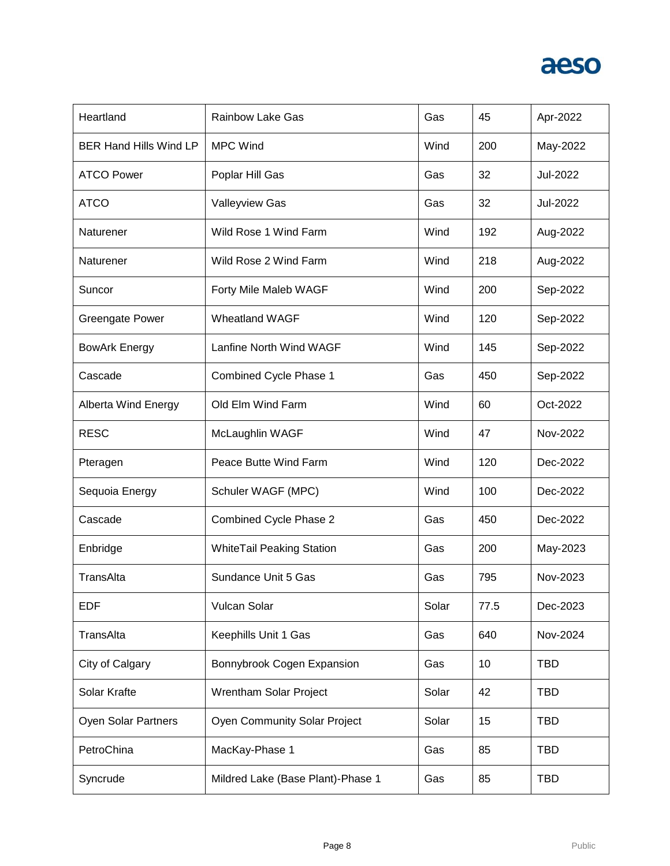

| Heartland                     | <b>Rainbow Lake Gas</b>           | Gas   | 45   | Apr-2022   |
|-------------------------------|-----------------------------------|-------|------|------------|
| <b>BER Hand Hills Wind LP</b> | <b>MPC Wind</b>                   | Wind  | 200  | May-2022   |
| <b>ATCO Power</b>             | Poplar Hill Gas                   | Gas   | 32   | Jul-2022   |
| <b>ATCO</b>                   | <b>Valleyview Gas</b>             | Gas   | 32   | Jul-2022   |
| Naturener                     | Wild Rose 1 Wind Farm             | Wind  | 192  | Aug-2022   |
| Naturener                     | Wild Rose 2 Wind Farm             | Wind  | 218  | Aug-2022   |
| Suncor                        | Forty Mile Maleb WAGF             | Wind  | 200  | Sep-2022   |
| <b>Greengate Power</b>        | <b>Wheatland WAGF</b>             | Wind  | 120  | Sep-2022   |
| <b>BowArk Energy</b>          | Lanfine North Wind WAGF           | Wind  | 145  | Sep-2022   |
| Cascade                       | Combined Cycle Phase 1            | Gas   | 450  | Sep-2022   |
| <b>Alberta Wind Energy</b>    | Old Elm Wind Farm                 | Wind  | 60   | Oct-2022   |
| <b>RESC</b>                   | McLaughlin WAGF                   | Wind  | 47   | Nov-2022   |
| Pteragen                      | Peace Butte Wind Farm             | Wind  | 120  | Dec-2022   |
| Sequoia Energy                | Schuler WAGF (MPC)                | Wind  | 100  | Dec-2022   |
| Cascade                       | Combined Cycle Phase 2            | Gas   | 450  | Dec-2022   |
| Enbridge                      | <b>WhiteTail Peaking Station</b>  | Gas   | 200  | May-2023   |
| TransAlta                     | Sundance Unit 5 Gas               | Gas   | 795  | Nov-2023   |
| <b>EDF</b>                    | Vulcan Solar                      | Solar | 77.5 | Dec-2023   |
| TransAlta                     | Keephills Unit 1 Gas              | Gas   | 640  | Nov-2024   |
| City of Calgary               | Bonnybrook Cogen Expansion        | Gas   | 10   | <b>TBD</b> |
| Solar Krafte                  | Wrentham Solar Project            | Solar | 42   | <b>TBD</b> |
| Oyen Solar Partners           | Oyen Community Solar Project      | Solar | 15   | <b>TBD</b> |
| PetroChina                    | MacKay-Phase 1                    | Gas   | 85   | <b>TBD</b> |
| Syncrude                      | Mildred Lake (Base Plant)-Phase 1 | Gas   | 85   | <b>TBD</b> |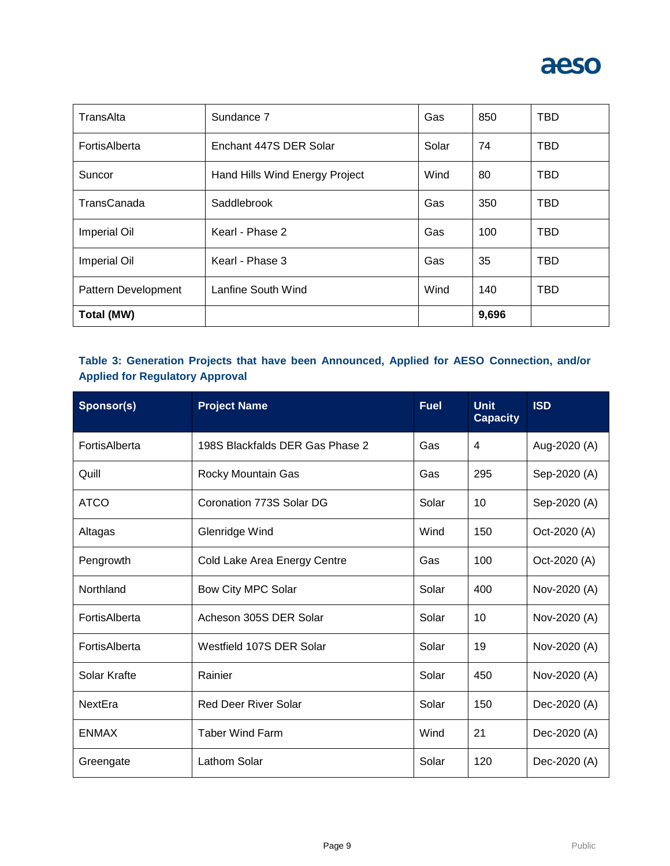

| TransAlta           | Sundance 7                     | Gas   | 850   | <b>TBD</b> |
|---------------------|--------------------------------|-------|-------|------------|
| FortisAlberta       | Enchant 447S DER Solar         | Solar | 74    | <b>TBD</b> |
| Suncor              | Hand Hills Wind Energy Project | Wind  | 80    | <b>TBD</b> |
| TransCanada         | Saddlebrook                    | Gas   | 350   | <b>TBD</b> |
| Imperial Oil        | Kearl - Phase 2                | Gas   | 100   | <b>TBD</b> |
| Imperial Oil        | Kearl - Phase 3                | Gas   | 35    | <b>TBD</b> |
| Pattern Development | Lanfine South Wind             | Wind  | 140   | TBD.       |
| Total (MW)          |                                |       | 9,696 |            |

### **Table 3: Generation Projects that have been Announced, Applied for AESO Connection, and/or Applied for Regulatory Approval**

| Sponsor(s)    | <b>Project Name</b>             | <b>Fuel</b> | <b>Unit</b><br><b>Capacity</b> | <b>ISD</b>   |
|---------------|---------------------------------|-------------|--------------------------------|--------------|
| FortisAlberta | 198S Blackfalds DER Gas Phase 2 | Gas         | 4                              | Aug-2020 (A) |
| Quill         | Rocky Mountain Gas              | Gas         | 295                            | Sep-2020 (A) |
| <b>ATCO</b>   | Coronation 773S Solar DG        | Solar       | 10                             | Sep-2020 (A) |
| Altagas       | Glenridge Wind                  | Wind        | 150                            | Oct-2020 (A) |
| Pengrowth     | Cold Lake Area Energy Centre    | Gas         | 100                            | Oct-2020 (A) |
| Northland     | Bow City MPC Solar              | Solar       | 400                            | Nov-2020 (A) |
| FortisAlberta | Acheson 305S DER Solar          | Solar       | 10                             | Nov-2020 (A) |
| FortisAlberta | Westfield 107S DER Solar        | Solar       | 19                             | Nov-2020 (A) |
| Solar Krafte  | Rainier                         | Solar       | 450                            | Nov-2020 (A) |
| NextEra       | <b>Red Deer River Solar</b>     | Solar       | 150                            | Dec-2020 (A) |
| <b>ENMAX</b>  | <b>Taber Wind Farm</b>          | Wind        | 21                             | Dec-2020 (A) |
| Greengate     | <b>Lathom Solar</b>             | Solar       | 120                            | Dec-2020 (A) |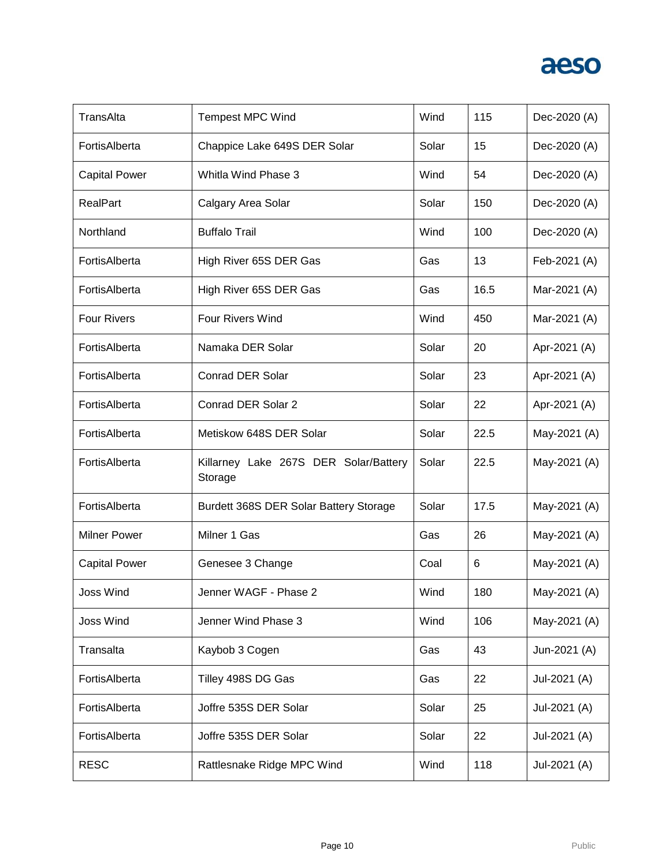| TransAlta            | <b>Tempest MPC Wind</b>                          | Wind  | 115  | Dec-2020 (A) |
|----------------------|--------------------------------------------------|-------|------|--------------|
| FortisAlberta        | Chappice Lake 649S DER Solar                     | Solar | 15   | Dec-2020 (A) |
| <b>Capital Power</b> | Whitla Wind Phase 3                              | Wind  | 54   | Dec-2020 (A) |
| RealPart             | Calgary Area Solar                               | Solar | 150  | Dec-2020 (A) |
| Northland            | <b>Buffalo Trail</b>                             | Wind  | 100  | Dec-2020 (A) |
| FortisAlberta        | High River 65S DER Gas                           | Gas   | 13   | Feb-2021 (A) |
| FortisAlberta        | High River 65S DER Gas                           | Gas   | 16.5 | Mar-2021 (A) |
| <b>Four Rivers</b>   | <b>Four Rivers Wind</b>                          | Wind  | 450  | Mar-2021 (A) |
| FortisAlberta        | Namaka DER Solar                                 | Solar | 20   | Apr-2021 (A) |
| FortisAlberta        | <b>Conrad DER Solar</b>                          | Solar | 23   | Apr-2021 (A) |
| FortisAlberta        | Conrad DER Solar 2                               | Solar | 22   | Apr-2021 (A) |
| FortisAlberta        | Metiskow 648S DER Solar                          | Solar | 22.5 | May-2021 (A) |
| FortisAlberta        | Killarney Lake 267S DER Solar/Battery<br>Storage | Solar | 22.5 | May-2021 (A) |
| FortisAlberta        | Burdett 368S DER Solar Battery Storage           | Solar | 17.5 | May-2021 (A) |
| <b>Milner Power</b>  | Milner 1 Gas                                     | Gas   | 26   | May-2021 (A) |
| <b>Capital Power</b> | Genesee 3 Change                                 | Coal  | 6    | May-2021 (A) |
| Joss Wind            | Jenner WAGF - Phase 2                            | Wind  | 180  | May-2021 (A) |
| <b>Joss Wind</b>     | Jenner Wind Phase 3                              | Wind  | 106  | May-2021 (A) |
| Transalta            | Kaybob 3 Cogen                                   | Gas   | 43   | Jun-2021 (A) |
| FortisAlberta        | Tilley 498S DG Gas                               | Gas   | 22   | Jul-2021 (A) |
| FortisAlberta        | Joffre 535S DER Solar                            | Solar | 25   | Jul-2021 (A) |
| FortisAlberta        | Joffre 535S DER Solar                            | Solar | 22   | Jul-2021 (A) |
| <b>RESC</b>          | Rattlesnake Ridge MPC Wind                       | Wind  | 118  | Jul-2021 (A) |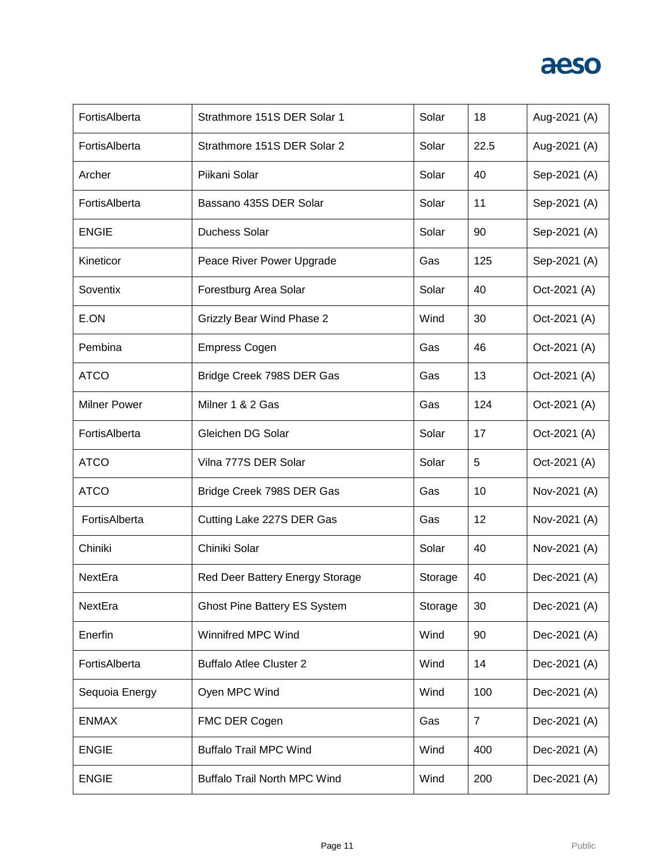| FortisAlberta       | Strathmore 151S DER Solar 1         | Solar   | 18             | Aug-2021 (A) |
|---------------------|-------------------------------------|---------|----------------|--------------|
| FortisAlberta       | Strathmore 151S DER Solar 2         | Solar   | 22.5           | Aug-2021 (A) |
| Archer              | Piikani Solar                       | Solar   | 40             | Sep-2021 (A) |
| FortisAlberta       | Bassano 435S DER Solar              | Solar   | 11             | Sep-2021 (A) |
| <b>ENGIE</b>        | Duchess Solar                       | Solar   | 90             | Sep-2021 (A) |
| Kineticor           | Peace River Power Upgrade           | Gas     | 125            | Sep-2021 (A) |
| Soventix            | Forestburg Area Solar               | Solar   | 40             | Oct-2021 (A) |
| E.ON                | <b>Grizzly Bear Wind Phase 2</b>    | Wind    | 30             | Oct-2021 (A) |
| Pembina             | <b>Empress Cogen</b>                | Gas     | 46             | Oct-2021 (A) |
| <b>ATCO</b>         | Bridge Creek 798S DER Gas           | Gas     | 13             | Oct-2021 (A) |
| <b>Milner Power</b> | Milner 1 & 2 Gas                    | Gas     | 124            | Oct-2021 (A) |
| FortisAlberta       | Gleichen DG Solar                   | Solar   | 17             | Oct-2021 (A) |
| <b>ATCO</b>         | Vilna 777S DER Solar                | Solar   | 5              | Oct-2021 (A) |
| <b>ATCO</b>         | Bridge Creek 798S DER Gas           | Gas     | 10             | Nov-2021 (A) |
| FortisAlberta       | Cutting Lake 227S DER Gas           | Gas     | 12             | Nov-2021 (A) |
| Chiniki             | Chiniki Solar                       | Solar   | 40             | Nov-2021 (A) |
| NextEra             | Red Deer Battery Energy Storage     | Storage | 40             | Dec-2021 (A) |
| NextEra             | <b>Ghost Pine Battery ES System</b> | Storage | 30             | Dec-2021 (A) |
| Enerfin             | <b>Winnifred MPC Wind</b>           | Wind    | 90             | Dec-2021 (A) |
| FortisAlberta       | <b>Buffalo Atlee Cluster 2</b>      | Wind    | 14             | Dec-2021 (A) |
| Sequoia Energy      | Oyen MPC Wind                       | Wind    | 100            | Dec-2021 (A) |
| <b>ENMAX</b>        | FMC DER Cogen                       | Gas     | $\overline{7}$ | Dec-2021 (A) |
| <b>ENGIE</b>        | <b>Buffalo Trail MPC Wind</b>       | Wind    | 400            | Dec-2021 (A) |
| <b>ENGIE</b>        | <b>Buffalo Trail North MPC Wind</b> | Wind    | 200            | Dec-2021 (A) |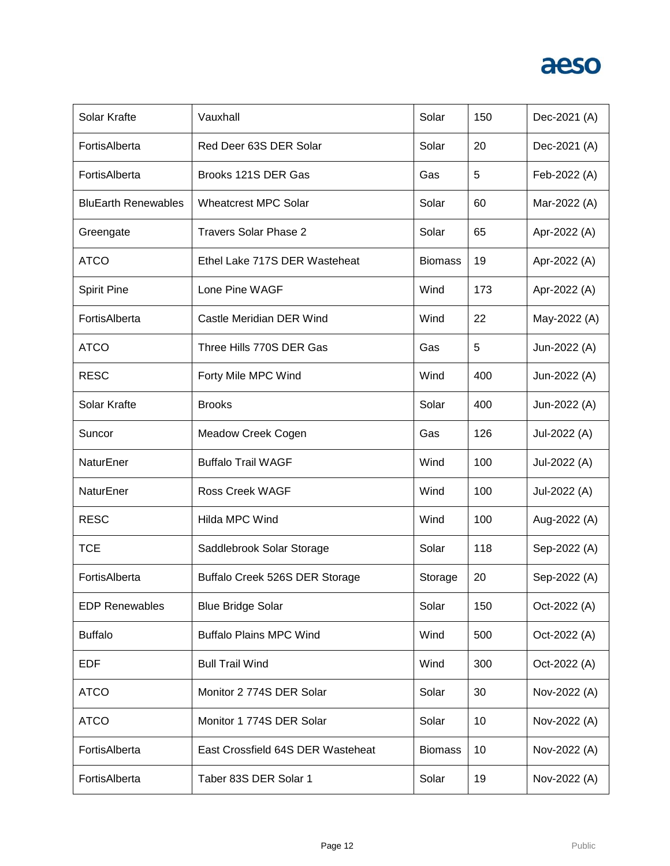| Solar Krafte               | Vauxhall                          | Solar          | 150 | Dec-2021 (A) |
|----------------------------|-----------------------------------|----------------|-----|--------------|
| FortisAlberta              | Red Deer 63S DER Solar            | Solar          | 20  | Dec-2021 (A) |
| FortisAlberta              | Brooks 121S DER Gas               | Gas            | 5   | Feb-2022 (A) |
| <b>BluEarth Renewables</b> | <b>Wheatcrest MPC Solar</b>       | Solar          | 60  | Mar-2022 (A) |
| Greengate                  | <b>Travers Solar Phase 2</b>      | Solar          | 65  | Apr-2022 (A) |
| <b>ATCO</b>                | Ethel Lake 717S DER Wasteheat     | <b>Biomass</b> | 19  | Apr-2022 (A) |
| <b>Spirit Pine</b>         | Lone Pine WAGF                    | Wind           | 173 | Apr-2022 (A) |
| FortisAlberta              | Castle Meridian DER Wind          | Wind           | 22  | May-2022 (A) |
| <b>ATCO</b>                | Three Hills 770S DER Gas          | Gas            | 5   | Jun-2022 (A) |
| <b>RESC</b>                | Forty Mile MPC Wind               | Wind           | 400 | Jun-2022 (A) |
| Solar Krafte               | <b>Brooks</b>                     | Solar          | 400 | Jun-2022 (A) |
| Suncor                     | Meadow Creek Cogen                | Gas            | 126 | Jul-2022 (A) |
| NaturEner                  | <b>Buffalo Trail WAGF</b>         | Wind           | 100 | Jul-2022 (A) |
| NaturEner                  | <b>Ross Creek WAGF</b>            | Wind           | 100 | Jul-2022 (A) |
| <b>RESC</b>                | Hilda MPC Wind                    | Wind           | 100 | Aug-2022 (A) |
| <b>TCE</b>                 | Saddlebrook Solar Storage         | Solar          | 118 | Sep-2022 (A) |
| FortisAlberta              | Buffalo Creek 526S DER Storage    | Storage        | 20  | Sep-2022 (A) |
| <b>EDP Renewables</b>      | <b>Blue Bridge Solar</b>          | Solar          | 150 | Oct-2022 (A) |
| <b>Buffalo</b>             | <b>Buffalo Plains MPC Wind</b>    | Wind           | 500 | Oct-2022 (A) |
| EDF                        | <b>Bull Trail Wind</b>            | Wind           | 300 | Oct-2022 (A) |
| <b>ATCO</b>                | Monitor 2 774S DER Solar          | Solar          | 30  | Nov-2022 (A) |
| <b>ATCO</b>                | Monitor 1 774S DER Solar          | Solar          | 10  | Nov-2022 (A) |
| FortisAlberta              | East Crossfield 64S DER Wasteheat | <b>Biomass</b> | 10  | Nov-2022 (A) |
| FortisAlberta              | Taber 83S DER Solar 1             | Solar          | 19  | Nov-2022 (A) |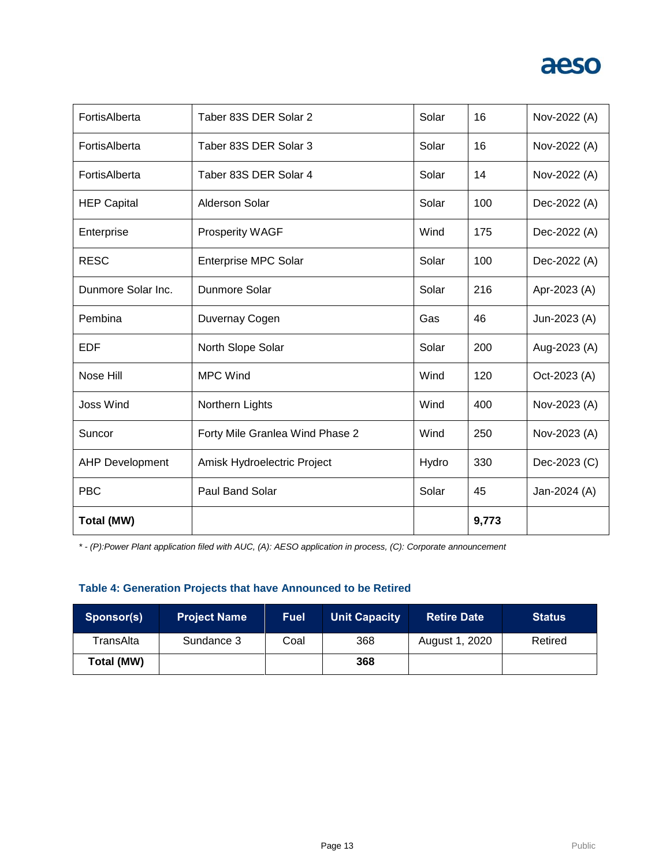| FortisAlberta          | Taber 83S DER Solar 2           | Solar | 16    | Nov-2022 (A) |
|------------------------|---------------------------------|-------|-------|--------------|
| FortisAlberta          | Taber 83S DER Solar 3           | Solar | 16    | Nov-2022 (A) |
| FortisAlberta          | Taber 83S DER Solar 4           | Solar | 14    | Nov-2022 (A) |
| <b>HEP Capital</b>     | Alderson Solar                  | Solar | 100   | Dec-2022 (A) |
| Enterprise             | <b>Prosperity WAGF</b>          | Wind  | 175   | Dec-2022 (A) |
| <b>RESC</b>            | Enterprise MPC Solar            | Solar | 100   | Dec-2022 (A) |
| Dunmore Solar Inc.     | Dunmore Solar                   | Solar | 216   | Apr-2023 (A) |
| Pembina                | Duvernay Cogen                  | Gas   | 46    | Jun-2023 (A) |
| <b>EDF</b>             | North Slope Solar               | Solar | 200   | Aug-2023 (A) |
| Nose Hill              | <b>MPC Wind</b>                 | Wind  | 120   | Oct-2023 (A) |
| Joss Wind              | Northern Lights                 | Wind  | 400   | Nov-2023 (A) |
| Suncor                 | Forty Mile Granlea Wind Phase 2 | Wind  | 250   | Nov-2023 (A) |
| <b>AHP Development</b> | Amisk Hydroelectric Project     | Hydro | 330   | Dec-2023 (C) |
| <b>PBC</b>             | Paul Band Solar                 | Solar | 45    | Jan-2024 (A) |
| <b>Total (MW)</b>      |                                 |       | 9,773 |              |

*\* - (P):Power Plant application filed with AUC, (A): AESO application in process, (C): Corporate announcement*

### **Table 4: Generation Projects that have Announced to be Retired**

| Sponsor(s) | <b>Project Name</b> | <b>Fuel</b> | <b>Unit Capacity</b> | <b>Retire Date</b> | <b>Status</b> |
|------------|---------------------|-------------|----------------------|--------------------|---------------|
| TransAlta  | Sundance 3          | Coal        | 368                  | August 1, 2020     | Retired       |
| Total (MW) |                     |             | 368                  |                    |               |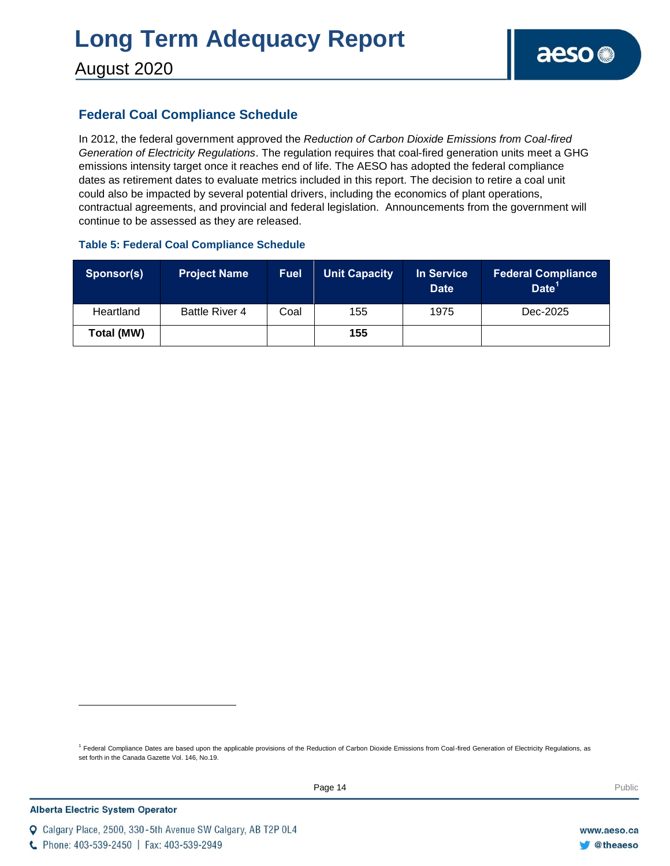### **Federal Coal Compliance Schedule**

In 2012, the federal government approved the *Reduction of Carbon Dioxide Emissions from Coal-fired Generation of Electricity Regulations*. The regulation requires that coal-fired generation units meet a GHG emissions intensity target once it reaches end of life. The AESO has adopted the federal compliance dates as retirement dates to evaluate metrics included in this report. The decision to retire a coal unit could also be impacted by several potential drivers, including the economics of plant operations, contractual agreements, and provincial and federal legislation. Announcements from the government will continue to be assessed as they are released.

### **Table 5: Federal Coal Compliance Schedule**

| Sponsor(s) | <b>Project Name</b>   | <b>Fuel</b> | <b>Unit Capacity</b> | <b>In Service</b><br><b>Date</b> | <b>Federal Compliance</b><br>Date <sup>11</sup> |
|------------|-----------------------|-------------|----------------------|----------------------------------|-------------------------------------------------|
| Heartland  | <b>Battle River 4</b> | Coal        | 155                  | 1975                             | Dec-2025                                        |
| Total (MW) |                       |             | 155                  |                                  |                                                 |

<sup>1</sup> Federal Compliance Dates are based upon the applicable provisions of the Reduction of Carbon Dioxide Emissions from Coal-fired Generation of Electricity Regulations, as set forth in the Canada Gazette Vol. 146, No.19.

C Phone: 403-539-2450 | Fax: 403-539-2949

Q Calgary Place, 2500, 330-5th Avenue SW Calgary, AB T2P 0L4

l

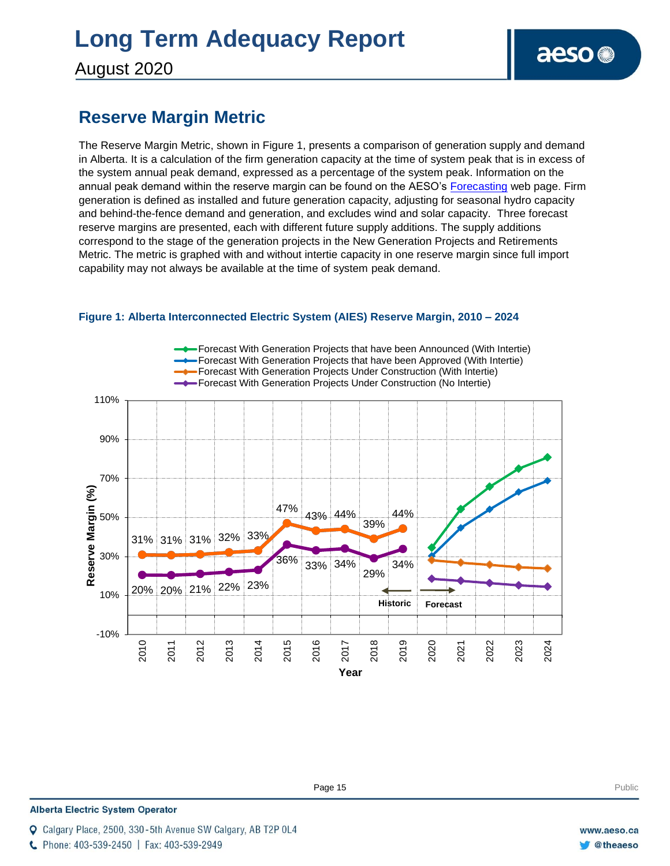August 2020

### **Reserve Margin Metric**

The Reserve Margin Metric, shown in Figure 1, presents a comparison of generation supply and demand in Alberta. It is a calculation of the firm generation capacity at the time of system peak that is in excess of the system annual peak demand, expressed as a percentage of the system peak. Information on the annual peak demand within the reserve margin can be found on the AESO's [Forecasting](https://www.aeso.ca/grid/forecasting) web page. Firm generation is defined as installed and future generation capacity, adjusting for seasonal hydro capacity and behind-the-fence demand and generation, and excludes wind and solar capacity. Three forecast reserve margins are presented, each with different future supply additions. The supply additions correspond to the stage of the generation projects in the New Generation Projects and Retirements Metric. The metric is graphed with and without intertie capacity in one reserve margin since full import capability may not always be available at the time of system peak demand.



#### **Figure 1: Alberta Interconnected Electric System (AIES) Reserve Margin, 2010 – 2024**

**Enter Football Page 15** Public Public Public Public Public Public Public Public Public Public Public Public Public Public Public Public Public Public Public Public Public Public Public Public Public Public Public Public P

#### **Alberta Electric System Operator**

- Calgary Place, 2500, 330-5th Avenue SW Calgary, AB T2P 0L4
- C Phone: 403-539-2450 | Fax: 403-539-2949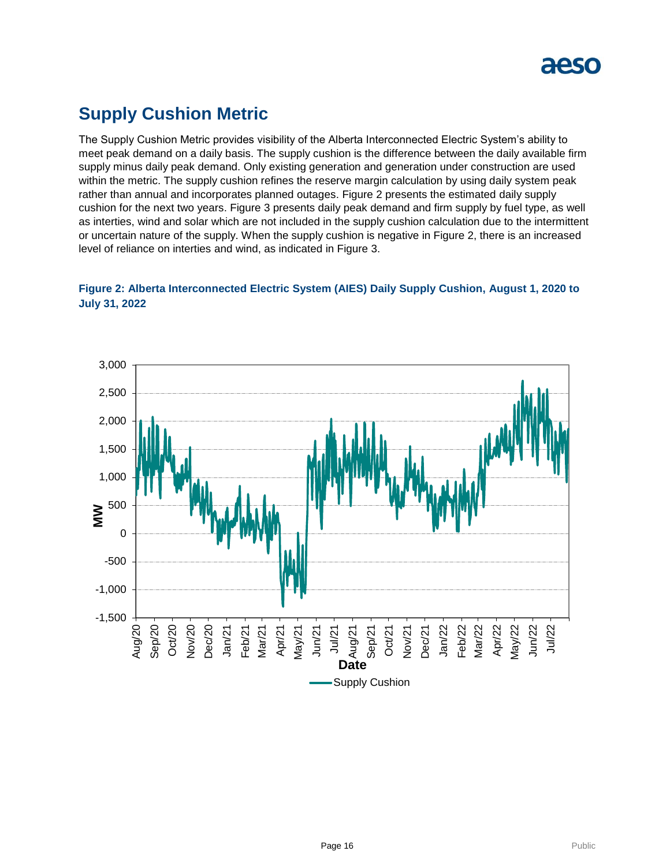

### **Supply Cushion Metric**

The Supply Cushion Metric provides visibility of the Alberta Interconnected Electric System's ability to meet peak demand on a daily basis. The supply cushion is the difference between the daily available firm supply minus daily peak demand. Only existing generation and generation under construction are used within the metric. The supply cushion refines the reserve margin calculation by using daily system peak rather than annual and incorporates planned outages. Figure 2 presents the estimated daily supply cushion for the next two years. Figure 3 presents daily peak demand and firm supply by fuel type, as well as interties, wind and solar which are not included in the supply cushion calculation due to the intermittent or uncertain nature of the supply. When the supply cushion is negative in Figure 2, there is an increased level of reliance on interties and wind, as indicated in Figure 3.

### **Figure 2: Alberta Interconnected Electric System (AIES) Daily Supply Cushion, August 1, 2020 to July 31, 2022**

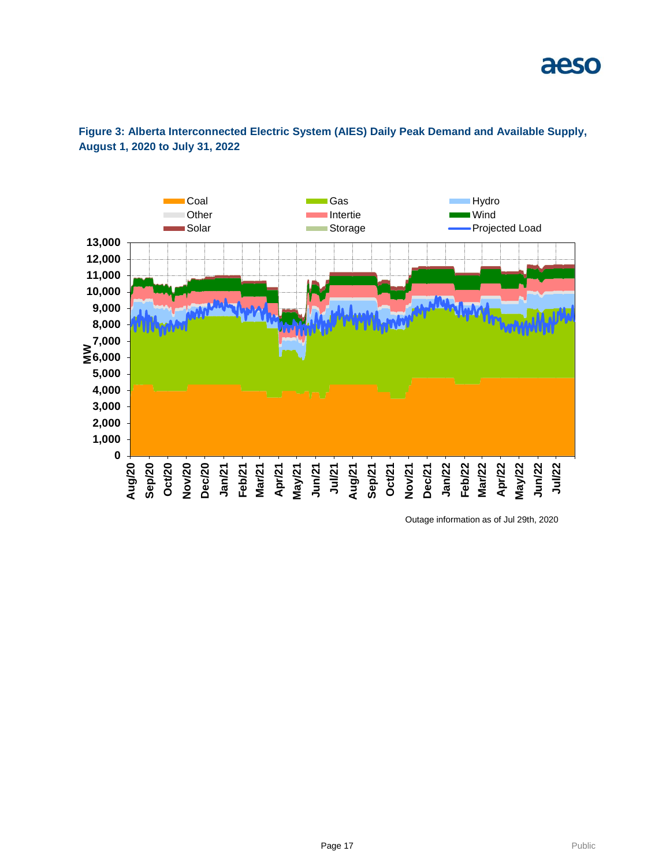

### **Figure 3: Alberta Interconnected Electric System (AIES) Daily Peak Demand and Available Supply, August 1, 2020 to July 31, 2022**

Outage information as of Jul 29th, 2020